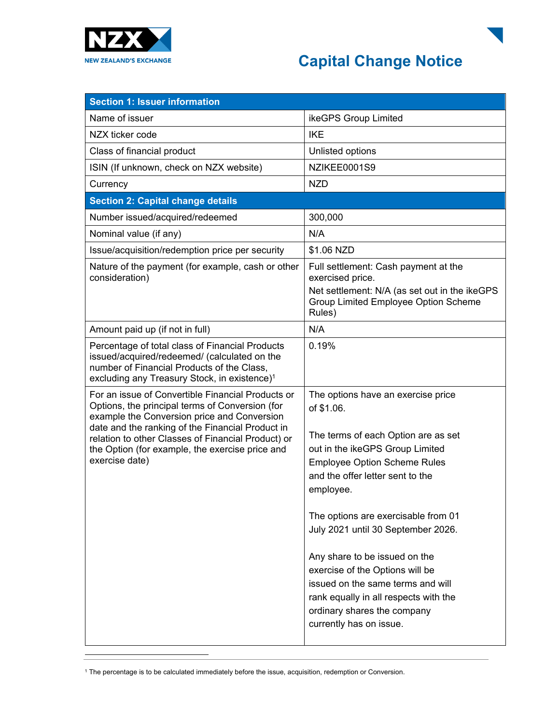

## **Capital Change Notice**

| <b>Section 1: Issuer information</b>                                                                                                                                                                      |                                                                                                 |
|-----------------------------------------------------------------------------------------------------------------------------------------------------------------------------------------------------------|-------------------------------------------------------------------------------------------------|
| Name of issuer                                                                                                                                                                                            | ikeGPS Group Limited                                                                            |
| NZX ticker code                                                                                                                                                                                           | <b>IKE</b>                                                                                      |
| Class of financial product                                                                                                                                                                                | Unlisted options                                                                                |
| ISIN (If unknown, check on NZX website)                                                                                                                                                                   | NZIKEE0001S9                                                                                    |
| Currency                                                                                                                                                                                                  | <b>NZD</b>                                                                                      |
| <b>Section 2: Capital change details</b>                                                                                                                                                                  |                                                                                                 |
| Number issued/acquired/redeemed                                                                                                                                                                           | 300,000                                                                                         |
| Nominal value (if any)                                                                                                                                                                                    | N/A                                                                                             |
| Issue/acquisition/redemption price per security                                                                                                                                                           | \$1.06 NZD                                                                                      |
| Nature of the payment (for example, cash or other<br>consideration)                                                                                                                                       | Full settlement: Cash payment at the<br>exercised price.                                        |
|                                                                                                                                                                                                           | Net settlement: N/A (as set out in the ikeGPS<br>Group Limited Employee Option Scheme<br>Rules) |
| Amount paid up (if not in full)                                                                                                                                                                           | N/A                                                                                             |
| Percentage of total class of Financial Products<br>issued/acquired/redeemed/ (calculated on the<br>number of Financial Products of the Class,<br>excluding any Treasury Stock, in existence) <sup>1</sup> | 0.19%                                                                                           |
| For an issue of Convertible Financial Products or<br>Options, the principal terms of Conversion (for<br>example the Conversion price and Conversion                                                       | The options have an exercise price<br>of \$1.06.                                                |
| date and the ranking of the Financial Product in<br>relation to other Classes of Financial Product) or                                                                                                    | The terms of each Option are as set                                                             |
| the Option (for example, the exercise price and                                                                                                                                                           | out in the ikeGPS Group Limited                                                                 |
| exercise date)                                                                                                                                                                                            | <b>Employee Option Scheme Rules</b><br>and the offer letter sent to the                         |
|                                                                                                                                                                                                           | employee.                                                                                       |
|                                                                                                                                                                                                           | The options are exercisable from 01                                                             |
|                                                                                                                                                                                                           | July 2021 until 30 September 2026.                                                              |
|                                                                                                                                                                                                           | Any share to be issued on the                                                                   |
|                                                                                                                                                                                                           | exercise of the Options will be                                                                 |
|                                                                                                                                                                                                           | issued on the same terms and will                                                               |
|                                                                                                                                                                                                           | rank equally in all respects with the                                                           |
|                                                                                                                                                                                                           | ordinary shares the company<br>currently has on issue.                                          |
|                                                                                                                                                                                                           |                                                                                                 |

<sup>1</sup> The percentage is to be calculated immediately before the issue, acquisition, redemption or Conversion.